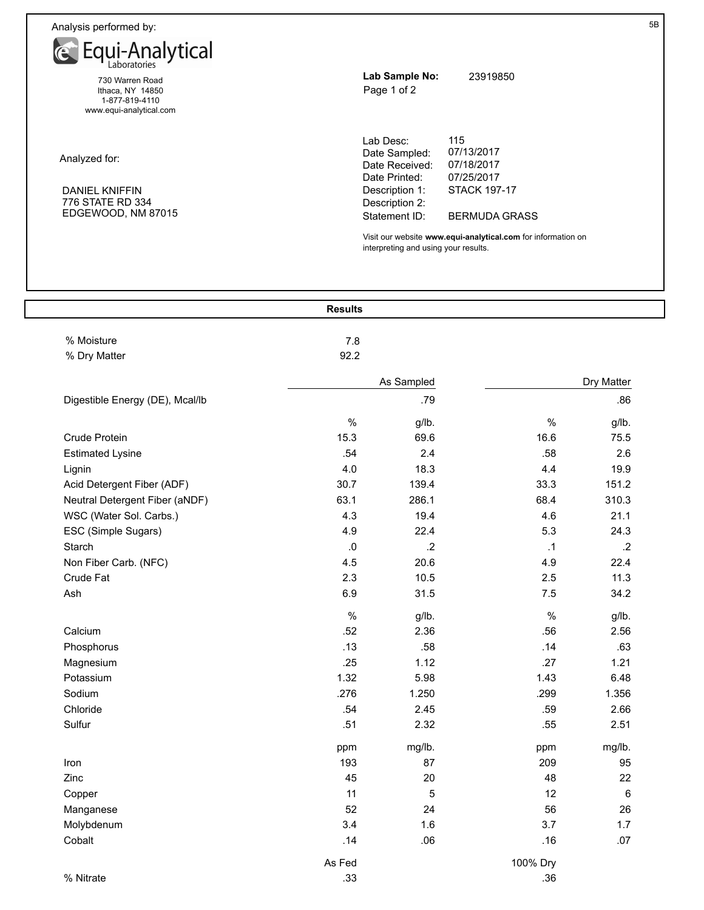Analysis performed by:



Ithaca, NY 14850 1-877-819-4110 www.equi-analytical.com

Analyzed for:

## DANIEL KNIFFIN 776 STATE RD 334 EDGEWOOD, NM 87015

| Lab Sample No:<br>Page 1 of 2                                                   | 23919850                                                             |
|---------------------------------------------------------------------------------|----------------------------------------------------------------------|
| Lab Desc:<br>Date Sampled:<br>Date Received:<br>Date Printed:<br>Description 1: | 115<br>07/13/2017<br>07/18/2017<br>07/25/2017<br><b>STACK 197-17</b> |
| Description 2:                                                                  |                                                                      |

Statement ID:

Visit our website **www.equi-analytical.com** for information on interpreting and using your results.

BERMUDA GRASS

|                                 | <b>Results</b> |                |      |            |
|---------------------------------|----------------|----------------|------|------------|
| % Moisture                      | 7.8            |                |      |            |
| % Dry Matter                    | 92.2           |                |      |            |
|                                 |                | As Sampled     |      | Dry Matter |
| Digestible Energy (DE), Mcal/lb |                | .79            |      | .86        |
|                                 | $\%$           | g/lb.          | $\%$ | g/lb.      |
| Crude Protein                   | 15.3           | 69.6           | 16.6 | 75.5       |
| <b>Estimated Lysine</b>         | .54            | 2.4            | .58  | 2.6        |
| Lignin                          | 4.0            | 18.3           | 4.4  | 19.9       |
| Acid Detergent Fiber (ADF)      | 30.7           | 139.4          | 33.3 | 151.2      |
| Neutral Detergent Fiber (aNDF)  | 63.1           | 286.1          | 68.4 | 310.3      |
| WSC (Water Sol. Carbs.)         | 4.3            | 19.4           | 4.6  | 21.1       |
| ESC (Simple Sugars)             | 4.9            | 22.4           | 5.3  | 24.3       |
| Starch                          | $\cdot$ 0      | $\overline{2}$ | .1   | $\cdot$ .2 |
| Non Fiber Carb. (NFC)           | 4.5            | 20.6           | 4.9  | 22.4       |
| Crude Fat                       | 2.3            | 10.5           | 2.5  | 11.3       |
| Ash                             | 6.9            | 31.5           | 7.5  | 34.2       |
|                                 | $\%$           | g/lb.          | $\%$ | g/lb.      |
| Calcium                         | .52            | 2.36           | .56  | 2.56       |
| Phosphorus                      | .13            | .58            | .14  | .63        |
| Magnesium                       | .25            | 1.12           | .27  | 1.21       |
| Potassium                       | 1.32           | 5.98           | 1.43 | 6.48       |
| Sodium                          | .276           | 1.250          | .299 | 1.356      |
| Chloride                        | .54            | 2.45           | .59  | 2.66       |
| Sulfur                          | .51            | 2.32           | .55  | 2.51       |
|                                 |                | حا الدمد       |      | طالبہ م    |

|            | ppm    | mg/lb. | ppm      | mg/lb. |
|------------|--------|--------|----------|--------|
| Iron       | 193    | 87     | 209      | 95     |
| Zinc       | 45     | 20     | 48       | 22     |
| Copper     | 11     | 5      | 12       | 6      |
| Manganese  | 52     | 24     | 56       | 26     |
| Molybdenum | 3.4    | 1.6    | 3.7      | 1.7    |
| Cobalt     | .14    | .06    | .16      | .07    |
|            | As Fed |        | 100% Dry |        |